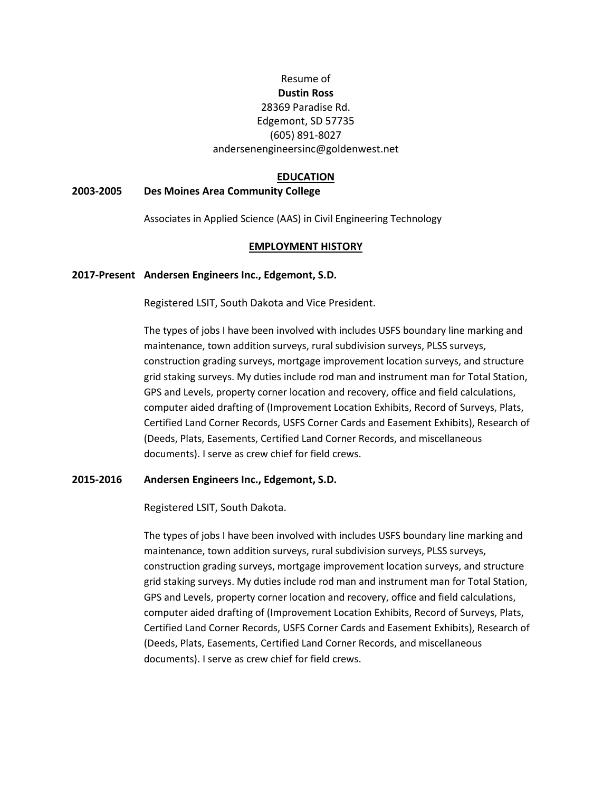## Resume of

# **Dustin Ross**

#### 28369 Paradise Rd. Edgemont, SD 57735 (605) 891-8027 andersenengineersinc@goldenwest.net

## **EDUCATION**

## **2003-2005 Des Moines Area Community College**

Associates in Applied Science (AAS) in Civil Engineering Technology

## **EMPLOYMENT HISTORY**

## **2017-Present Andersen Engineers Inc., Edgemont, S.D.**

Registered LSIT, South Dakota and Vice President.

The types of jobs I have been involved with includes USFS boundary line marking and maintenance, town addition surveys, rural subdivision surveys, PLSS surveys, construction grading surveys, mortgage improvement location surveys, and structure grid staking surveys. My duties include rod man and instrument man for Total Station, GPS and Levels, property corner location and recovery, office and field calculations, computer aided drafting of (Improvement Location Exhibits, Record of Surveys, Plats, Certified Land Corner Records, USFS Corner Cards and Easement Exhibits), Research of (Deeds, Plats, Easements, Certified Land Corner Records, and miscellaneous documents). I serve as crew chief for field crews.

## **2015-2016 Andersen Engineers Inc., Edgemont, S.D.**

Registered LSIT, South Dakota.

The types of jobs I have been involved with includes USFS boundary line marking and maintenance, town addition surveys, rural subdivision surveys, PLSS surveys, construction grading surveys, mortgage improvement location surveys, and structure grid staking surveys. My duties include rod man and instrument man for Total Station, GPS and Levels, property corner location and recovery, office and field calculations, computer aided drafting of (Improvement Location Exhibits, Record of Surveys, Plats, Certified Land Corner Records, USFS Corner Cards and Easement Exhibits), Research of (Deeds, Plats, Easements, Certified Land Corner Records, and miscellaneous documents). I serve as crew chief for field crews.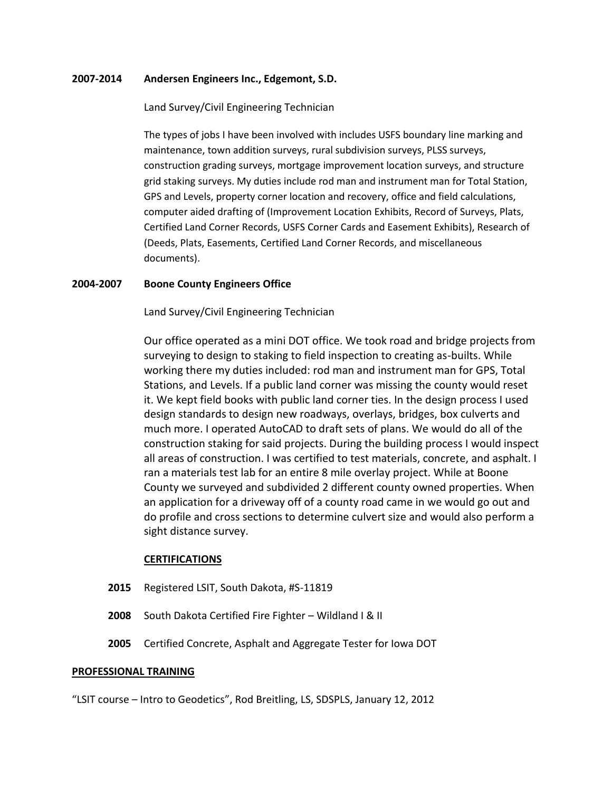#### **2007-2014 Andersen Engineers Inc., Edgemont, S.D.**

#### Land Survey/Civil Engineering Technician

The types of jobs I have been involved with includes USFS boundary line marking and maintenance, town addition surveys, rural subdivision surveys, PLSS surveys, construction grading surveys, mortgage improvement location surveys, and structure grid staking surveys. My duties include rod man and instrument man for Total Station, GPS and Levels, property corner location and recovery, office and field calculations, computer aided drafting of (Improvement Location Exhibits, Record of Surveys, Plats, Certified Land Corner Records, USFS Corner Cards and Easement Exhibits), Research of (Deeds, Plats, Easements, Certified Land Corner Records, and miscellaneous documents).

#### **2004-2007 Boone County Engineers Office**

Land Survey/Civil Engineering Technician

Our office operated as a mini DOT office. We took road and bridge projects from surveying to design to staking to field inspection to creating as-builts. While working there my duties included: rod man and instrument man for GPS, Total Stations, and Levels. If a public land corner was missing the county would reset it. We kept field books with public land corner ties. In the design process I used design standards to design new roadways, overlays, bridges, box culverts and much more. I operated AutoCAD to draft sets of plans. We would do all of the construction staking for said projects. During the building process I would inspect all areas of construction. I was certified to test materials, concrete, and asphalt. I ran a materials test lab for an entire 8 mile overlay project. While at Boone County we surveyed and subdivided 2 different county owned properties. When an application for a driveway off of a county road came in we would go out and do profile and cross sections to determine culvert size and would also perform a sight distance survey.

#### **CERTIFICATIONS**

- **2015** Registered LSIT, South Dakota, #S-11819
- **2008** South Dakota Certified Fire Fighter Wildland I & II
- **2005** Certified Concrete, Asphalt and Aggregate Tester for Iowa DOT

#### **PROFESSIONAL TRAINING**

"LSIT course – Intro to Geodetics", Rod Breitling, LS, SDSPLS, January 12, 2012